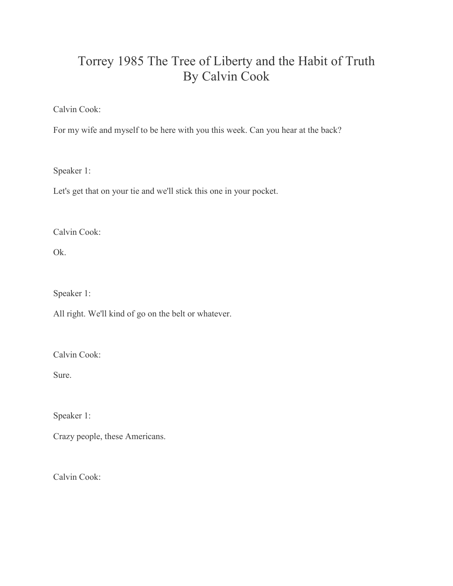## Torrey 1985 The Tree of Liberty and the Habit of Truth By Calvin Cook

Calvin Cook:

For my wife and myself to be here with you this week. Can you hear at the back?

Speaker 1:

Let's get that on your tie and we'll stick this one in your pocket.

Calvin Cook:

Ok.

Speaker 1:

All right. We'll kind of go on the belt or whatever.

Calvin Cook:

Sure.

Speaker 1:

Crazy people, these Americans.

Calvin Cook: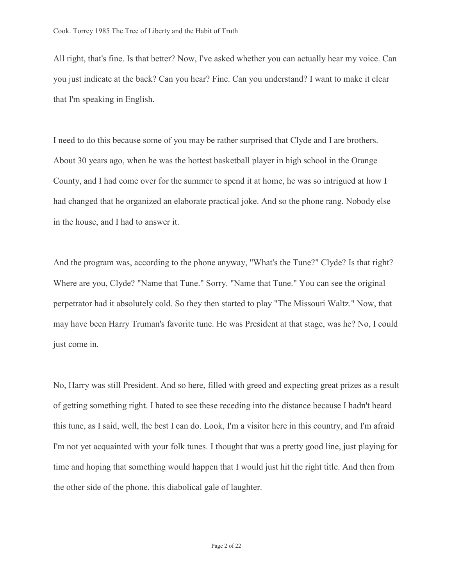All right, that's fine. Is that better? Now, I've asked whether you can actually hear my voice. Can you just indicate at the back? Can you hear? Fine. Can you understand? I want to make it clear that I'm speaking in English.

I need to do this because some of you may be rather surprised that Clyde and I are brothers. About 30 years ago, when he was the hottest basketball player in high school in the Orange County, and I had come over for the summer to spend it at home, he was so intrigued at how I had changed that he organized an elaborate practical joke. And so the phone rang. Nobody else in the house, and I had to answer it.

And the program was, according to the phone anyway, "What's the Tune?" Clyde? Is that right? Where are you, Clyde? "Name that Tune." Sorry. "Name that Tune." You can see the original perpetrator had it absolutely cold. So they then started to play "The Missouri Waltz." Now, that may have been Harry Truman's favorite tune. He was President at that stage, was he? No, I could just come in.

No, Harry was still President. And so here, filled with greed and expecting great prizes as a result of getting something right. I hated to see these receding into the distance because I hadn't heard this tune, as I said, well, the best I can do. Look, I'm a visitor here in this country, and I'm afraid I'm not yet acquainted with your folk tunes. I thought that was a pretty good line, just playing for time and hoping that something would happen that I would just hit the right title. And then from the other side of the phone, this diabolical gale of laughter.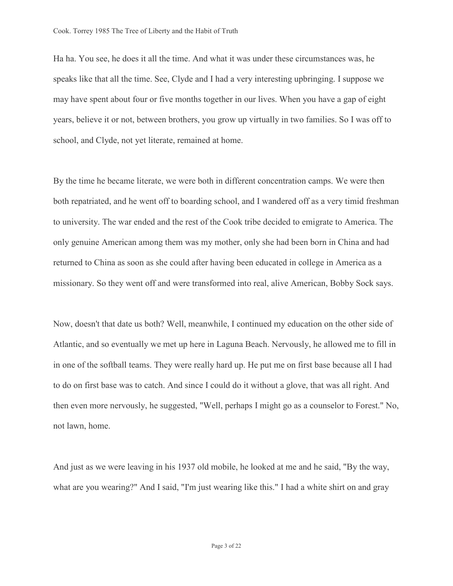Ha ha. You see, he does it all the time. And what it was under these circumstances was, he speaks like that all the time. See, Clyde and I had a very interesting upbringing. I suppose we may have spent about four or five months together in our lives. When you have a gap of eight years, believe it or not, between brothers, you grow up virtually in two families. So I was off to school, and Clyde, not yet literate, remained at home.

By the time he became literate, we were both in different concentration camps. We were then both repatriated, and he went off to boarding school, and I wandered off as a very timid freshman to university. The war ended and the rest of the Cook tribe decided to emigrate to America. The only genuine American among them was my mother, only she had been born in China and had returned to China as soon as she could after having been educated in college in America as a missionary. So they went off and were transformed into real, alive American, Bobby Sock says.

Now, doesn't that date us both? Well, meanwhile, I continued my education on the other side of Atlantic, and so eventually we met up here in Laguna Beach. Nervously, he allowed me to fill in in one of the softball teams. They were really hard up. He put me on first base because all I had to do on first base was to catch. And since I could do it without a glove, that was all right. And then even more nervously, he suggested, "Well, perhaps I might go as a counselor to Forest." No, not lawn, home.

And just as we were leaving in his 1937 old mobile, he looked at me and he said, "By the way, what are you wearing?" And I said, "I'm just wearing like this." I had a white shirt on and gray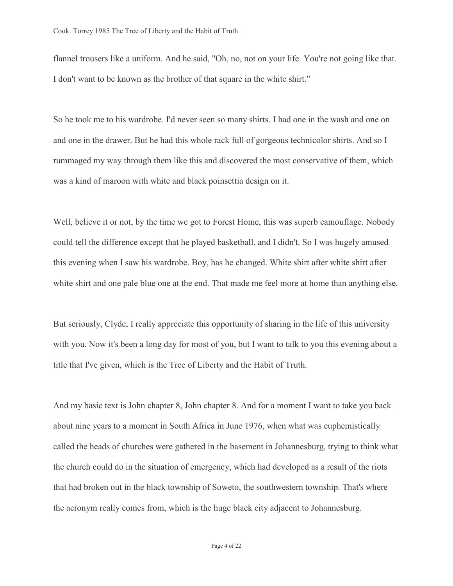flannel trousers like a uniform. And he said, "Oh, no, not on your life. You're not going like that. I don't want to be known as the brother of that square in the white shirt."

So he took me to his wardrobe. I'd never seen so many shirts. I had one in the wash and one on and one in the drawer. But he had this whole rack full of gorgeous technicolor shirts. And so I rummaged my way through them like this and discovered the most conservative of them, which was a kind of maroon with white and black poinsettia design on it.

Well, believe it or not, by the time we got to Forest Home, this was superb camouflage. Nobody could tell the difference except that he played basketball, and I didn't. So I was hugely amused this evening when I saw his wardrobe. Boy, has he changed. White shirt after white shirt after white shirt and one pale blue one at the end. That made me feel more at home than anything else.

But seriously, Clyde, I really appreciate this opportunity of sharing in the life of this university with you. Now it's been a long day for most of you, but I want to talk to you this evening about a title that I've given, which is the Tree of Liberty and the Habit of Truth.

And my basic text is John chapter 8, John chapter 8. And for a moment I want to take you back about nine years to a moment in South Africa in June 1976, when what was euphemistically called the heads of churches were gathered in the basement in Johannesburg, trying to think what the church could do in the situation of emergency, which had developed as a result of the riots that had broken out in the black township of Soweto, the southwestern township. That's where the acronym really comes from, which is the huge black city adjacent to Johannesburg.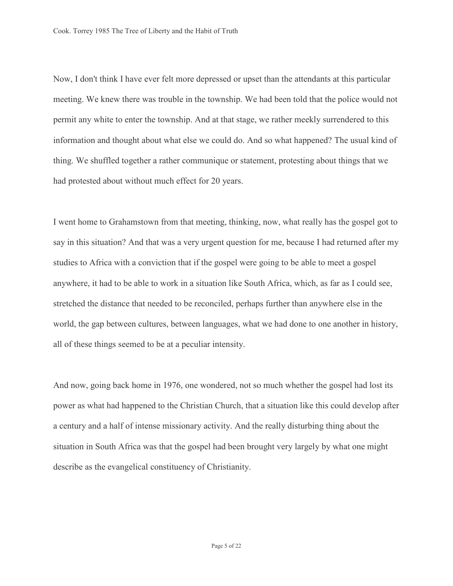Now, I don't think I have ever felt more depressed or upset than the attendants at this particular meeting. We knew there was trouble in the township. We had been told that the police would not permit any white to enter the township. And at that stage, we rather meekly surrendered to this information and thought about what else we could do. And so what happened? The usual kind of thing. We shuffled together a rather communique or statement, protesting about things that we had protested about without much effect for 20 years.

I went home to Grahamstown from that meeting, thinking, now, what really has the gospel got to say in this situation? And that was a very urgent question for me, because I had returned after my studies to Africa with a conviction that if the gospel were going to be able to meet a gospel anywhere, it had to be able to work in a situation like South Africa, which, as far as I could see, stretched the distance that needed to be reconciled, perhaps further than anywhere else in the world, the gap between cultures, between languages, what we had done to one another in history, all of these things seemed to be at a peculiar intensity.

And now, going back home in 1976, one wondered, not so much whether the gospel had lost its power as what had happened to the Christian Church, that a situation like this could develop after a century and a half of intense missionary activity. And the really disturbing thing about the situation in South Africa was that the gospel had been brought very largely by what one might describe as the evangelical constituency of Christianity.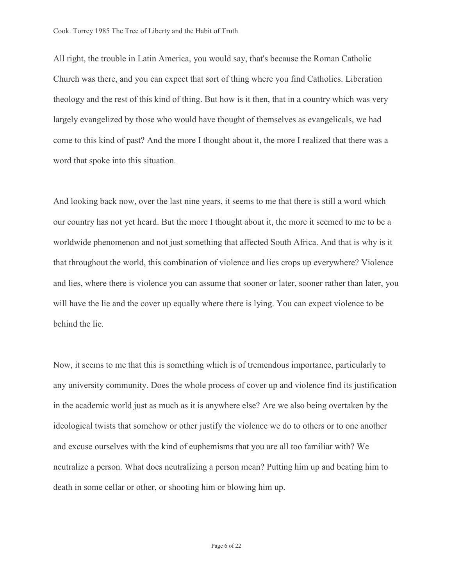All right, the trouble in Latin America, you would say, that's because the Roman Catholic Church was there, and you can expect that sort of thing where you find Catholics. Liberation theology and the rest of this kind of thing. But how is it then, that in a country which was very largely evangelized by those who would have thought of themselves as evangelicals, we had come to this kind of past? And the more I thought about it, the more I realized that there was a word that spoke into this situation.

And looking back now, over the last nine years, it seems to me that there is still a word which our country has not yet heard. But the more I thought about it, the more it seemed to me to be a worldwide phenomenon and not just something that affected South Africa. And that is why is it that throughout the world, this combination of violence and lies crops up everywhere? Violence and lies, where there is violence you can assume that sooner or later, sooner rather than later, you will have the lie and the cover up equally where there is lying. You can expect violence to be behind the lie.

Now, it seems to me that this is something which is of tremendous importance, particularly to any university community. Does the whole process of cover up and violence find its justification in the academic world just as much as it is anywhere else? Are we also being overtaken by the ideological twists that somehow or other justify the violence we do to others or to one another and excuse ourselves with the kind of euphemisms that you are all too familiar with? We neutralize a person. What does neutralizing a person mean? Putting him up and beating him to death in some cellar or other, or shooting him or blowing him up.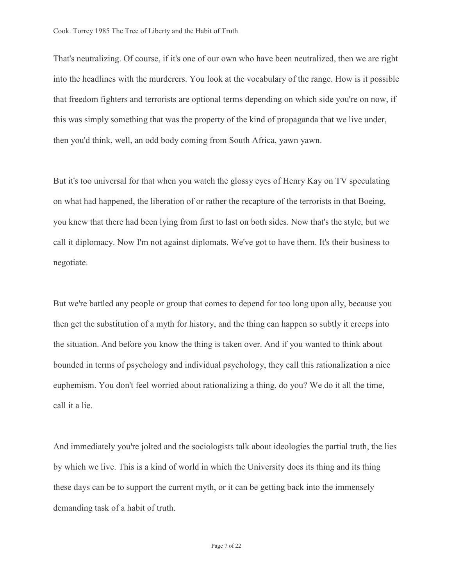That's neutralizing. Of course, if it's one of our own who have been neutralized, then we are right into the headlines with the murderers. You look at the vocabulary of the range. How is it possible that freedom fighters and terrorists are optional terms depending on which side you're on now, if this was simply something that was the property of the kind of propaganda that we live under, then you'd think, well, an odd body coming from South Africa, yawn yawn.

But it's too universal for that when you watch the glossy eyes of Henry Kay on TV speculating on what had happened, the liberation of or rather the recapture of the terrorists in that Boeing, you knew that there had been lying from first to last on both sides. Now that's the style, but we call it diplomacy. Now I'm not against diplomats. We've got to have them. It's their business to negotiate.

But we're battled any people or group that comes to depend for too long upon ally, because you then get the substitution of a myth for history, and the thing can happen so subtly it creeps into the situation. And before you know the thing is taken over. And if you wanted to think about bounded in terms of psychology and individual psychology, they call this rationalization a nice euphemism. You don't feel worried about rationalizing a thing, do you? We do it all the time, call it a lie.

And immediately you're jolted and the sociologists talk about ideologies the partial truth, the lies by which we live. This is a kind of world in which the University does its thing and its thing these days can be to support the current myth, or it can be getting back into the immensely demanding task of a habit of truth.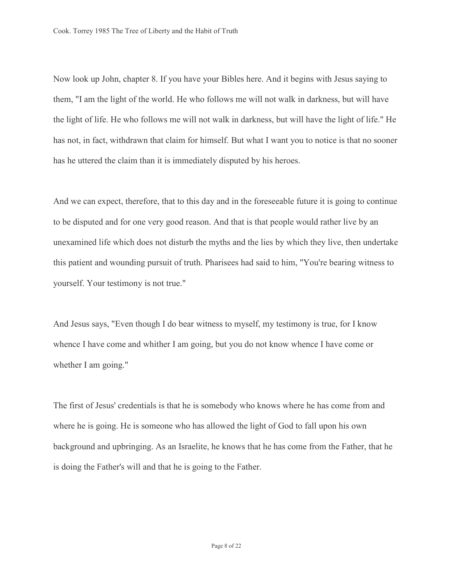Now look up John, chapter 8. If you have your Bibles here. And it begins with Jesus saying to them, "I am the light of the world. He who follows me will not walk in darkness, but will have the light of life. He who follows me will not walk in darkness, but will have the light of life." He has not, in fact, withdrawn that claim for himself. But what I want you to notice is that no sooner has he uttered the claim than it is immediately disputed by his heroes.

And we can expect, therefore, that to this day and in the foreseeable future it is going to continue to be disputed and for one very good reason. And that is that people would rather live by an unexamined life which does not disturb the myths and the lies by which they live, then undertake this patient and wounding pursuit of truth. Pharisees had said to him, "You're bearing witness to yourself. Your testimony is not true."

And Jesus says, "Even though I do bear witness to myself, my testimony is true, for I know whence I have come and whither I am going, but you do not know whence I have come or whether I am going."

The first of Jesus' credentials is that he is somebody who knows where he has come from and where he is going. He is someone who has allowed the light of God to fall upon his own background and upbringing. As an Israelite, he knows that he has come from the Father, that he is doing the Father's will and that he is going to the Father.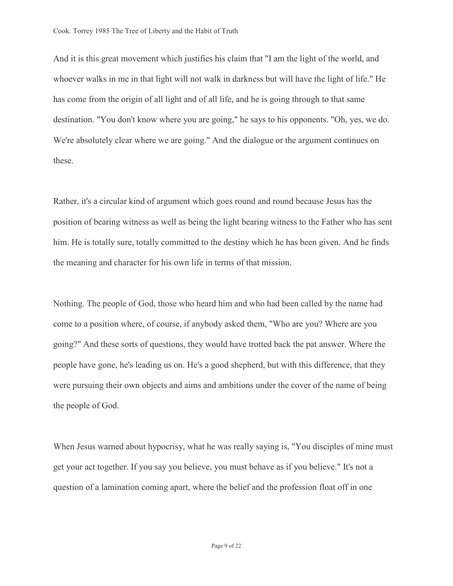And it is this great movement which justifies his claim that "I am the light of the world, and whoever walks in me in that light will not walk in darkness but will have the light of life." He has come from the origin of all light and of all life, and he is going through to that same destination. "You don't know where you are going," he says to his opponents. "Oh, yes, we do. We're absolutely clear where we are going." And the dialogue or the argument continues on these.

Rather, it's a circular kind of argument which goes round and round because Jesus has the position of bearing witness as well as being the light bearing witness to the Father who has sent him. He is totally sure, totally committed to the destiny which he has been given. And he finds the meaning and character for his own life in terms of that mission.

Nothing. The people of God, those who heard him and who had been called by the name had come to a position where, of course, if anybody asked them, "Who are you? Where are you going?" And these sorts of questions, they would have trotted back the pat answer. Where the people have gone, he's leading us on. He's a good shepherd, but with this difference, that they were pursuing their own objects and aims and ambitions under the cover of the name of being the people of God.

When Jesus warned about hypocrisy, what he was really saying is, "You disciples of mine must get your act together. If you say you believe, you must behave as if you believe." It's not a question of a lamination coming apart, where the belief and the profession float off in one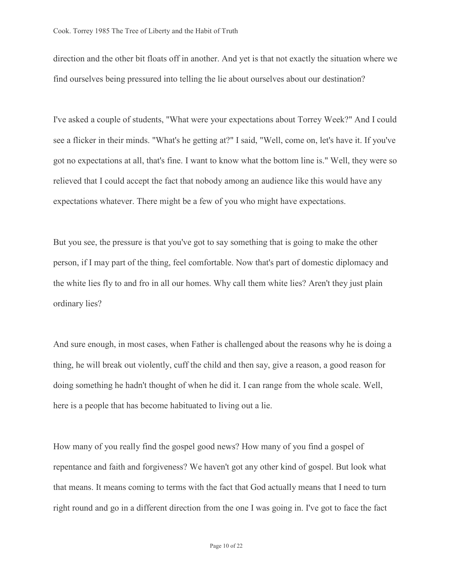direction and the other bit floats off in another. And yet is that not exactly the situation where we find ourselves being pressured into telling the lie about ourselves about our destination?

I've asked a couple of students, "What were your expectations about Torrey Week?" And I could see a flicker in their minds. "What's he getting at?" I said, "Well, come on, let's have it. If you've got no expectations at all, that's fine. I want to know what the bottom line is." Well, they were so relieved that I could accept the fact that nobody among an audience like this would have any expectations whatever. There might be a few of you who might have expectations.

But you see, the pressure is that you've got to say something that is going to make the other person, if I may part of the thing, feel comfortable. Now that's part of domestic diplomacy and the white lies fly to and fro in all our homes. Why call them white lies? Aren't they just plain ordinary lies?

And sure enough, in most cases, when Father is challenged about the reasons why he is doing a thing, he will break out violently, cuff the child and then say, give a reason, a good reason for doing something he hadn't thought of when he did it. I can range from the whole scale. Well, here is a people that has become habituated to living out a lie.

How many of you really find the gospel good news? How many of you find a gospel of repentance and faith and forgiveness? We haven't got any other kind of gospel. But look what that means. It means coming to terms with the fact that God actually means that I need to turn right round and go in a different direction from the one I was going in. I've got to face the fact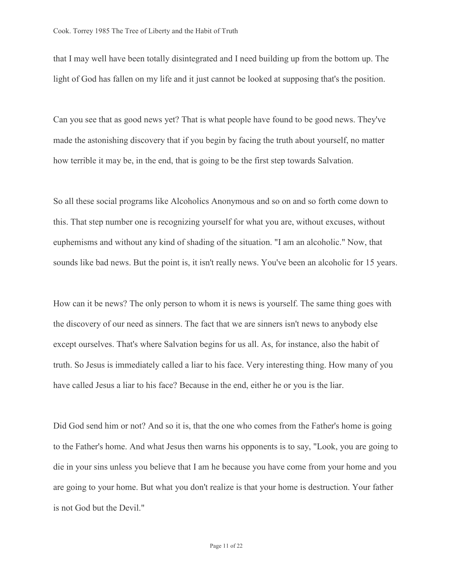that I may well have been totally disintegrated and I need building up from the bottom up. The light of God has fallen on my life and it just cannot be looked at supposing that's the position.

Can you see that as good news yet? That is what people have found to be good news. They've made the astonishing discovery that if you begin by facing the truth about yourself, no matter how terrible it may be, in the end, that is going to be the first step towards Salvation.

So all these social programs like Alcoholics Anonymous and so on and so forth come down to this. That step number one is recognizing yourself for what you are, without excuses, without euphemisms and without any kind of shading of the situation. "I am an alcoholic." Now, that sounds like bad news. But the point is, it isn't really news. You've been an alcoholic for 15 years.

How can it be news? The only person to whom it is news is yourself. The same thing goes with the discovery of our need as sinners. The fact that we are sinners isn't news to anybody else except ourselves. That's where Salvation begins for us all. As, for instance, also the habit of truth. So Jesus is immediately called a liar to his face. Very interesting thing. How many of you have called Jesus a liar to his face? Because in the end, either he or you is the liar.

Did God send him or not? And so it is, that the one who comes from the Father's home is going to the Father's home. And what Jesus then warns his opponents is to say, "Look, you are going to die in your sins unless you believe that I am he because you have come from your home and you are going to your home. But what you don't realize is that your home is destruction. Your father is not God but the Devil."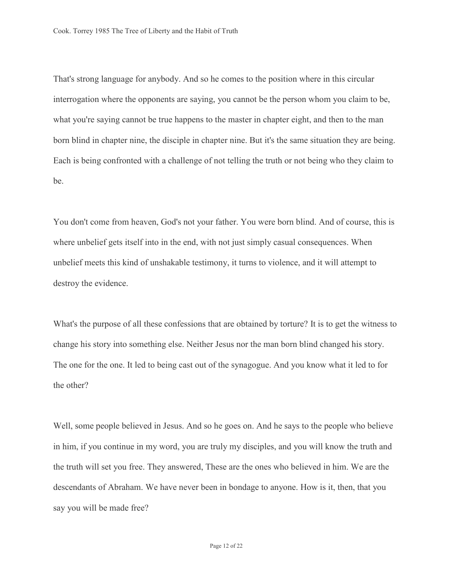That's strong language for anybody. And so he comes to the position where in this circular interrogation where the opponents are saying, you cannot be the person whom you claim to be, what you're saying cannot be true happens to the master in chapter eight, and then to the man born blind in chapter nine, the disciple in chapter nine. But it's the same situation they are being. Each is being confronted with a challenge of not telling the truth or not being who they claim to be.

You don't come from heaven, God's not your father. You were born blind. And of course, this is where unbelief gets itself into in the end, with not just simply casual consequences. When unbelief meets this kind of unshakable testimony, it turns to violence, and it will attempt to destroy the evidence.

What's the purpose of all these confessions that are obtained by torture? It is to get the witness to change his story into something else. Neither Jesus nor the man born blind changed his story. The one for the one. It led to being cast out of the synagogue. And you know what it led to for the other?

Well, some people believed in Jesus. And so he goes on. And he says to the people who believe in him, if you continue in my word, you are truly my disciples, and you will know the truth and the truth will set you free. They answered, These are the ones who believed in him. We are the descendants of Abraham. We have never been in bondage to anyone. How is it, then, that you say you will be made free?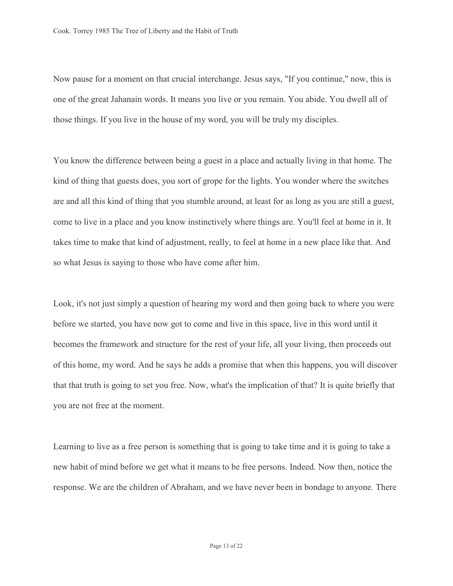Now pause for a moment on that crucial interchange. Jesus says, "If you continue," now, this is one of the great Jahanain words. It means you live or you remain. You abide. You dwell all of those things. If you live in the house of my word, you will be truly my disciples.

You know the difference between being a guest in a place and actually living in that home. The kind of thing that guests does, you sort of grope for the lights. You wonder where the switches are and all this kind of thing that you stumble around, at least for as long as you are still a guest, come to live in a place and you know instinctively where things are. You'll feel at home in it. It takes time to make that kind of adjustment, really, to feel at home in a new place like that. And so what Jesus is saying to those who have come after him.

Look, it's not just simply a question of hearing my word and then going back to where you were before we started, you have now got to come and live in this space, live in this word until it becomes the framework and structure for the rest of your life, all your living, then proceeds out of this home, my word. And he says he adds a promise that when this happens, you will discover that that truth is going to set you free. Now, what's the implication of that? It is quite briefly that you are not free at the moment.

Learning to live as a free person is something that is going to take time and it is going to take a new habit of mind before we get what it means to be free persons. Indeed. Now then, notice the response. We are the children of Abraham, and we have never been in bondage to anyone. There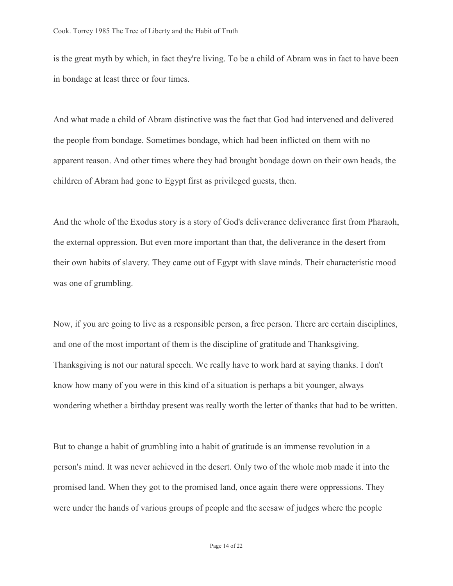is the great myth by which, in fact they're living. To be a child of Abram was in fact to have been in bondage at least three or four times.

And what made a child of Abram distinctive was the fact that God had intervened and delivered the people from bondage. Sometimes bondage, which had been inflicted on them with no apparent reason. And other times where they had brought bondage down on their own heads, the children of Abram had gone to Egypt first as privileged guests, then.

And the whole of the Exodus story is a story of God's deliverance deliverance first from Pharaoh, the external oppression. But even more important than that, the deliverance in the desert from their own habits of slavery. They came out of Egypt with slave minds. Their characteristic mood was one of grumbling.

Now, if you are going to live as a responsible person, a free person. There are certain disciplines, and one of the most important of them is the discipline of gratitude and Thanksgiving. Thanksgiving is not our natural speech. We really have to work hard at saying thanks. I don't know how many of you were in this kind of a situation is perhaps a bit younger, always wondering whether a birthday present was really worth the letter of thanks that had to be written.

But to change a habit of grumbling into a habit of gratitude is an immense revolution in a person's mind. It was never achieved in the desert. Only two of the whole mob made it into the promised land. When they got to the promised land, once again there were oppressions. They were under the hands of various groups of people and the seesaw of judges where the people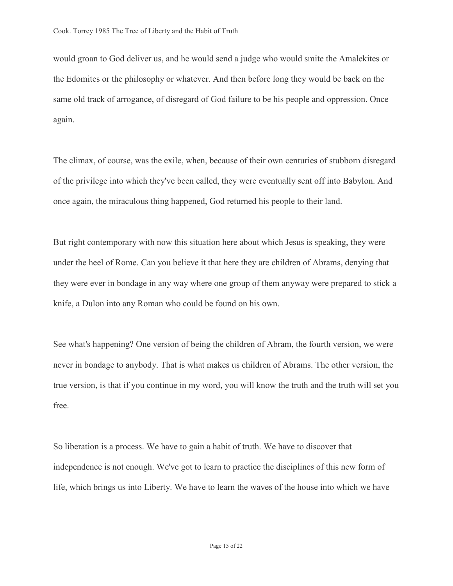would groan to God deliver us, and he would send a judge who would smite the Amalekites or the Edomites or the philosophy or whatever. And then before long they would be back on the same old track of arrogance, of disregard of God failure to be his people and oppression. Once again.

The climax, of course, was the exile, when, because of their own centuries of stubborn disregard of the privilege into which they've been called, they were eventually sent off into Babylon. And once again, the miraculous thing happened, God returned his people to their land.

But right contemporary with now this situation here about which Jesus is speaking, they were under the heel of Rome. Can you believe it that here they are children of Abrams, denying that they were ever in bondage in any way where one group of them anyway were prepared to stick a knife, a Dulon into any Roman who could be found on his own.

See what's happening? One version of being the children of Abram, the fourth version, we were never in bondage to anybody. That is what makes us children of Abrams. The other version, the true version, is that if you continue in my word, you will know the truth and the truth will set you free.

So liberation is a process. We have to gain a habit of truth. We have to discover that independence is not enough. We've got to learn to practice the disciplines of this new form of life, which brings us into Liberty. We have to learn the waves of the house into which we have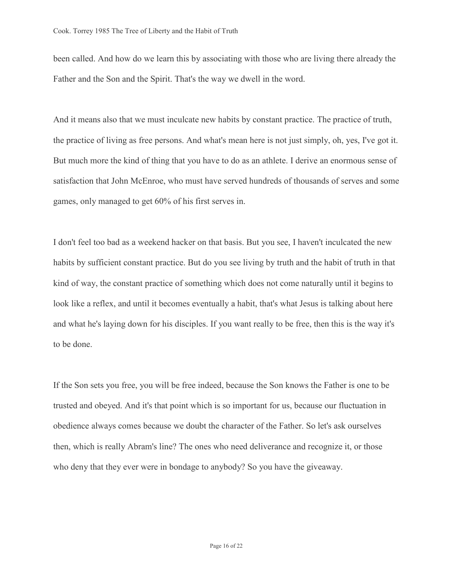been called. And how do we learn this by associating with those who are living there already the Father and the Son and the Spirit. That's the way we dwell in the word.

And it means also that we must inculcate new habits by constant practice. The practice of truth, the practice of living as free persons. And what's mean here is not just simply, oh, yes, I've got it. But much more the kind of thing that you have to do as an athlete. I derive an enormous sense of satisfaction that John McEnroe, who must have served hundreds of thousands of serves and some games, only managed to get 60% of his first serves in.

I don't feel too bad as a weekend hacker on that basis. But you see, I haven't inculcated the new habits by sufficient constant practice. But do you see living by truth and the habit of truth in that kind of way, the constant practice of something which does not come naturally until it begins to look like a reflex, and until it becomes eventually a habit, that's what Jesus is talking about here and what he's laying down for his disciples. If you want really to be free, then this is the way it's to be done.

If the Son sets you free, you will be free indeed, because the Son knows the Father is one to be trusted and obeyed. And it's that point which is so important for us, because our fluctuation in obedience always comes because we doubt the character of the Father. So let's ask ourselves then, which is really Abram's line? The ones who need deliverance and recognize it, or those who deny that they ever were in bondage to anybody? So you have the giveaway.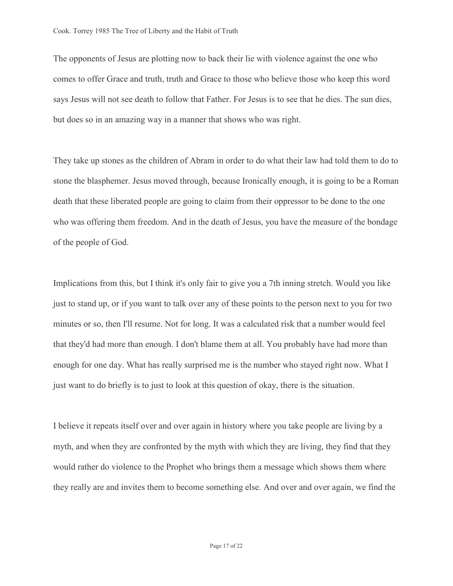The opponents of Jesus are plotting now to back their lie with violence against the one who comes to offer Grace and truth, truth and Grace to those who believe those who keep this word says Jesus will not see death to follow that Father. For Jesus is to see that he dies. The sun dies, but does so in an amazing way in a manner that shows who was right.

They take up stones as the children of Abram in order to do what their law had told them to do to stone the blasphemer. Jesus moved through, because Ironically enough, it is going to be a Roman death that these liberated people are going to claim from their oppressor to be done to the one who was offering them freedom. And in the death of Jesus, you have the measure of the bondage of the people of God.

Implications from this, but I think it's only fair to give you a 7th inning stretch. Would you like just to stand up, or if you want to talk over any of these points to the person next to you for two minutes or so, then I'll resume. Not for long. It was a calculated risk that a number would feel that they'd had more than enough. I don't blame them at all. You probably have had more than enough for one day. What has really surprised me is the number who stayed right now. What I just want to do briefly is to just to look at this question of okay, there is the situation.

I believe it repeats itself over and over again in history where you take people are living by a myth, and when they are confronted by the myth with which they are living, they find that they would rather do violence to the Prophet who brings them a message which shows them where they really are and invites them to become something else. And over and over again, we find the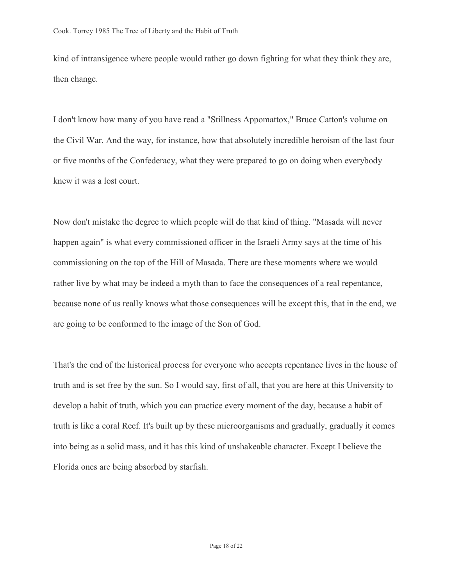kind of intransigence where people would rather go down fighting for what they think they are, then change.

I don't know how many of you have read a "Stillness Appomattox," Bruce Catton's volume on the Civil War. And the way, for instance, how that absolutely incredible heroism of the last four or five months of the Confederacy, what they were prepared to go on doing when everybody knew it was a lost court.

Now don't mistake the degree to which people will do that kind of thing. "Masada will never happen again" is what every commissioned officer in the Israeli Army says at the time of his commissioning on the top of the Hill of Masada. There are these moments where we would rather live by what may be indeed a myth than to face the consequences of a real repentance, because none of us really knows what those consequences will be except this, that in the end, we are going to be conformed to the image of the Son of God.

That's the end of the historical process for everyone who accepts repentance lives in the house of truth and is set free by the sun. So I would say, first of all, that you are here at this University to develop a habit of truth, which you can practice every moment of the day, because a habit of truth is like a coral Reef. It's built up by these microorganisms and gradually, gradually it comes into being as a solid mass, and it has this kind of unshakeable character. Except I believe the Florida ones are being absorbed by starfish.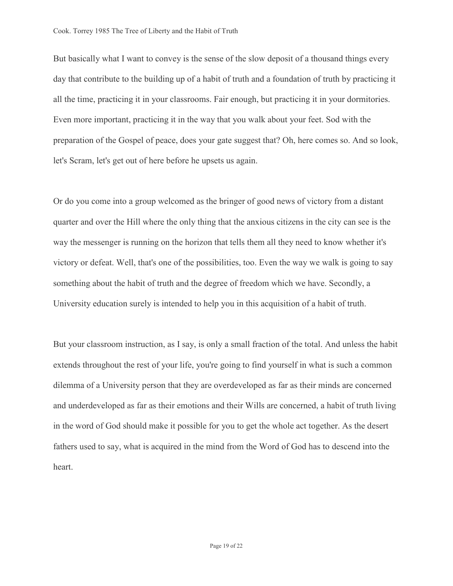But basically what I want to convey is the sense of the slow deposit of a thousand things every day that contribute to the building up of a habit of truth and a foundation of truth by practicing it all the time, practicing it in your classrooms. Fair enough, but practicing it in your dormitories. Even more important, practicing it in the way that you walk about your feet. Sod with the preparation of the Gospel of peace, does your gate suggest that? Oh, here comes so. And so look, let's Scram, let's get out of here before he upsets us again.

Or do you come into a group welcomed as the bringer of good news of victory from a distant quarter and over the Hill where the only thing that the anxious citizens in the city can see is the way the messenger is running on the horizon that tells them all they need to know whether it's victory or defeat. Well, that's one of the possibilities, too. Even the way we walk is going to say something about the habit of truth and the degree of freedom which we have. Secondly, a University education surely is intended to help you in this acquisition of a habit of truth.

But your classroom instruction, as I say, is only a small fraction of the total. And unless the habit extends throughout the rest of your life, you're going to find yourself in what is such a common dilemma of a University person that they are overdeveloped as far as their minds are concerned and underdeveloped as far as their emotions and their Wills are concerned, a habit of truth living in the word of God should make it possible for you to get the whole act together. As the desert fathers used to say, what is acquired in the mind from the Word of God has to descend into the heart.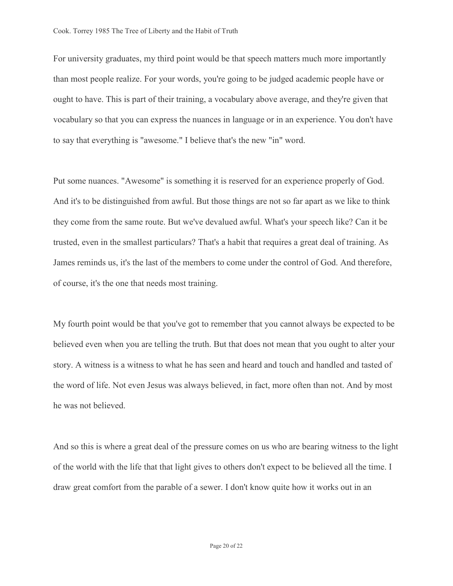For university graduates, my third point would be that speech matters much more importantly than most people realize. For your words, you're going to be judged academic people have or ought to have. This is part of their training, a vocabulary above average, and they're given that vocabulary so that you can express the nuances in language or in an experience. You don't have to say that everything is "awesome." I believe that's the new "in" word.

Put some nuances. "Awesome" is something it is reserved for an experience properly of God. And it's to be distinguished from awful. But those things are not so far apart as we like to think they come from the same route. But we've devalued awful. What's your speech like? Can it be trusted, even in the smallest particulars? That's a habit that requires a great deal of training. As James reminds us, it's the last of the members to come under the control of God. And therefore, of course, it's the one that needs most training.

My fourth point would be that you've got to remember that you cannot always be expected to be believed even when you are telling the truth. But that does not mean that you ought to alter your story. A witness is a witness to what he has seen and heard and touch and handled and tasted of the word of life. Not even Jesus was always believed, in fact, more often than not. And by most he was not believed.

And so this is where a great deal of the pressure comes on us who are bearing witness to the light of the world with the life that that light gives to others don't expect to be believed all the time. I draw great comfort from the parable of a sewer. I don't know quite how it works out in an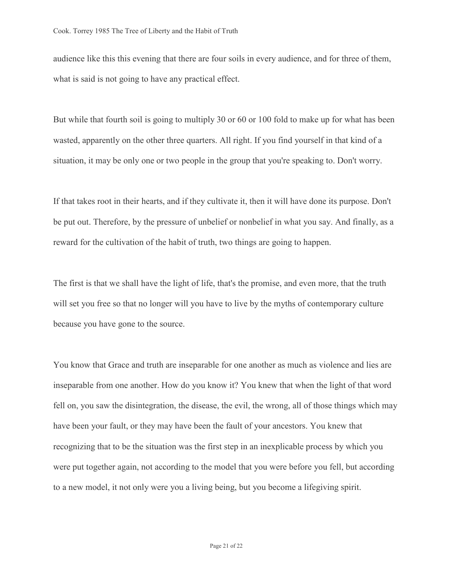audience like this this evening that there are four soils in every audience, and for three of them, what is said is not going to have any practical effect.

But while that fourth soil is going to multiply 30 or 60 or 100 fold to make up for what has been wasted, apparently on the other three quarters. All right. If you find yourself in that kind of a situation, it may be only one or two people in the group that you're speaking to. Don't worry.

If that takes root in their hearts, and if they cultivate it, then it will have done its purpose. Don't be put out. Therefore, by the pressure of unbelief or nonbelief in what you say. And finally, as a reward for the cultivation of the habit of truth, two things are going to happen.

The first is that we shall have the light of life, that's the promise, and even more, that the truth will set you free so that no longer will you have to live by the myths of contemporary culture because you have gone to the source.

You know that Grace and truth are inseparable for one another as much as violence and lies are inseparable from one another. How do you know it? You knew that when the light of that word fell on, you saw the disintegration, the disease, the evil, the wrong, all of those things which may have been your fault, or they may have been the fault of your ancestors. You knew that recognizing that to be the situation was the first step in an inexplicable process by which you were put together again, not according to the model that you were before you fell, but according to a new model, it not only were you a living being, but you become a lifegiving spirit.